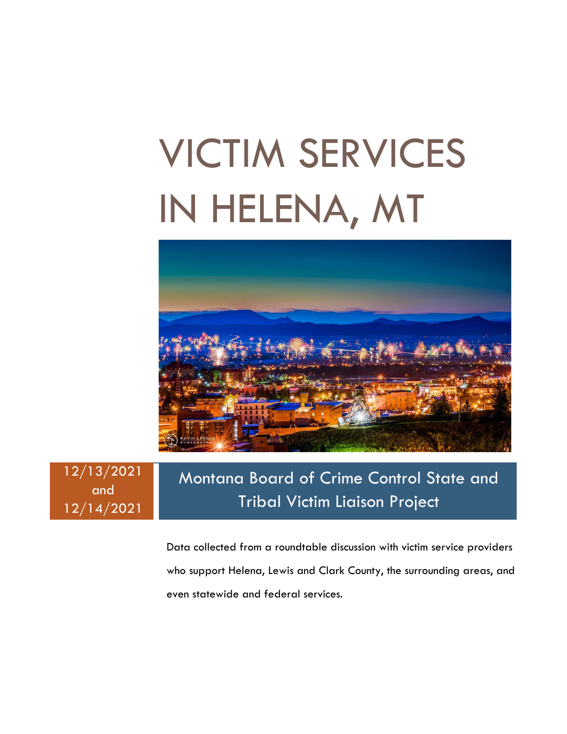# VICTIM SERVICES IN HELENA, MT



12/13/2021 and 12/14/2021

### Montana Board of Crime Control State and Tribal Victim Liaison Project

Data collected from a roundtable discussion with victim service providers who support Helena, Lewis and Clark County, the surrounding areas, and even statewide and federal services.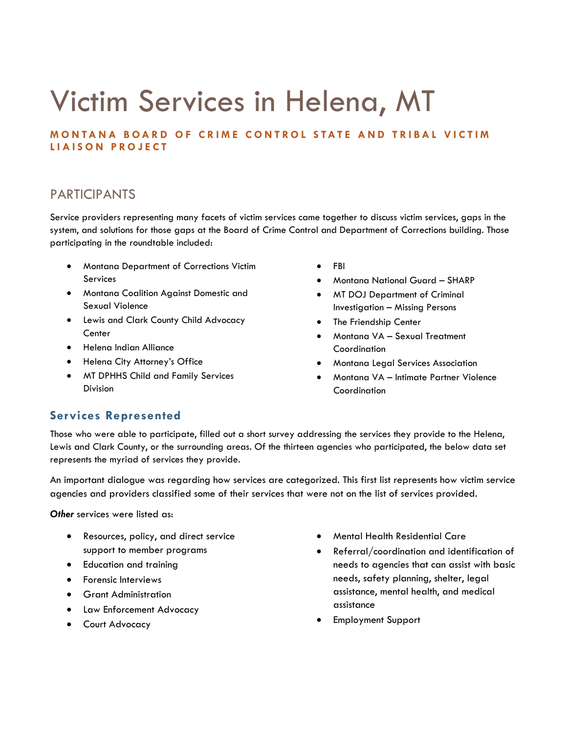## Victim Services in Helena, MT

**MONTANA BOARD OF CRIME CONTROL STATE AND TRIBAL VICTIM LIAISON PROJECT**

#### PARTICIPANTS

Service providers representing many facets of victim services came together to discuss victim services, gaps in the system, and solutions for those gaps at the Board of Crime Control and Department of Corrections building. Those participating in the roundtable included:

- Montana Department of Corrections Victim Services
- Montana Coalition Against Domestic and Sexual Violence
- Lewis and Clark County Child Advocacy **Center**
- Helena Indian Alliance
- Helena City Attorney's Office
- MT DPHHS Child and Family Services Division
- FBI
- Montana National Guard SHARP
- MT DOJ Department of Criminal Investigation – Missing Persons
- The Friendship Center
- Montana VA Sexual Treatment Coordination
- Montana Legal Services Association
- Montana VA Intimate Partner Violence Coordination

#### **Services Represented**

Those who were able to participate, filled out a short survey addressing the services they provide to the Helena, Lewis and Clark County, or the surrounding areas. Of the thirteen agencies who participated, the below data set represents the myriad of services they provide.

An important dialogue was regarding how services are categorized. This first list represents how victim service agencies and providers classified some of their services that were not on the list of services provided.

**Other** services were listed as:

- Resources, policy, and direct service support to member programs
- Education and training
- Forensic Interviews
- Grant Administration
- Law Enforcement Advocacy
- Court Advocacy
- Mental Health Residential Care
- Referral/coordination and identification of needs to agencies that can assist with basic needs, safety planning, shelter, legal assistance, mental health, and medical assistance
- Employment Support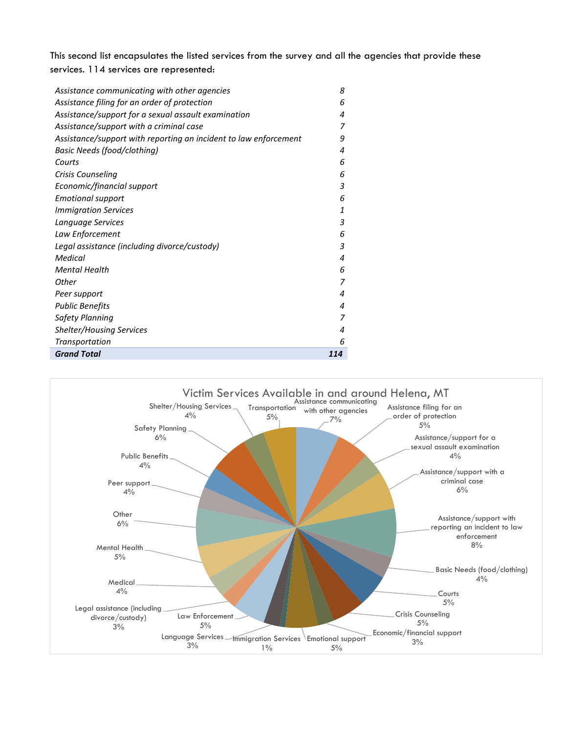This second list encapsulates the listed services from the survey and all the agencies that provide these services. 114 services are represented:

| Assistance communicating with other agencies                     | 8   |
|------------------------------------------------------------------|-----|
| Assistance filing for an order of protection                     | 6   |
| Assistance/support for a sexual assault examination              | 4   |
| Assistance/support with a criminal case                          | 7   |
| Assistance/support with reporting an incident to law enforcement | 9   |
| Basic Needs (food/clothing)                                      | 4   |
| Courts                                                           | 6   |
| Crisis Counseling                                                | 6   |
| Economic/financial support                                       | 3   |
| <b>Emotional support</b>                                         | 6   |
| <b>Immigration Services</b>                                      | 1   |
| Language Services                                                | 3   |
| Law Enforcement                                                  | 6   |
| Legal assistance (including divorce/custody)                     | 3   |
| Medical                                                          | 4   |
| <b>Mental Health</b>                                             | 6   |
| Other                                                            | 7   |
| Peer support                                                     | 4   |
| Public Benefits                                                  | 4   |
| Safety Planning                                                  | 7   |
| <b>Shelter/Housing Services</b>                                  | 4   |
| Transportation                                                   | 6   |
| <b>Grand Total</b>                                               | 114 |

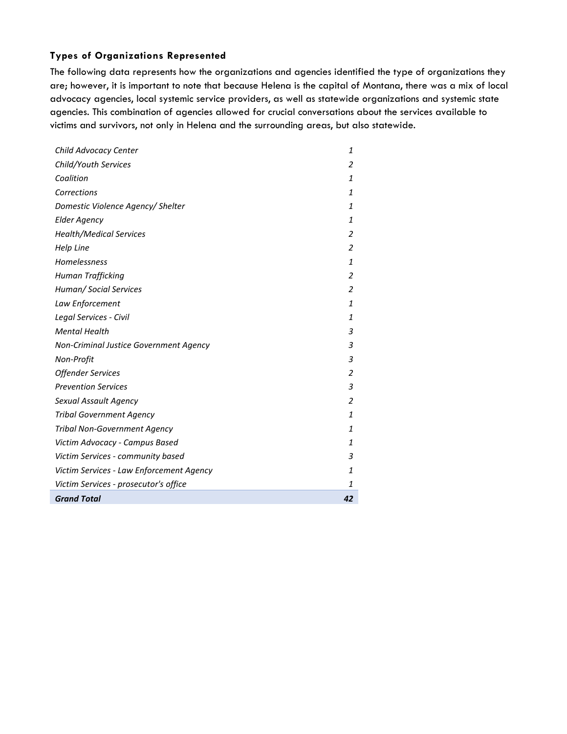#### **Types of Organizations Represented**

The following data represents how the organizations and agencies identified the type of organizations they are; however, it is important to note that because Helena is the capital of Montana, there was a mix of local advocacy agencies, local systemic service providers, as well as statewide organizations and systemic state agencies. This combination of agencies allowed for crucial conversations about the services available to victims and survivors, not only in Helena and the surrounding areas, but also statewide.

| Child Advocacy Center                    | 1              |
|------------------------------------------|----------------|
| Child/Youth Services                     | 2              |
| Coalition                                | $\mathbf{1}$   |
| Corrections                              | $\mathbf{1}$   |
| Domestic Violence Agency/ Shelter        | $\mathbf{1}$   |
| <b>Elder Agency</b>                      | $\mathbf{1}$   |
| <b>Health/Medical Services</b>           | $\overline{2}$ |
| Help Line                                | 2              |
| Homelessness                             | $\mathbf{1}$   |
| Human Trafficking                        | $\overline{2}$ |
| Human/ Social Services                   | 2              |
| Law Enforcement                          | $\mathbf{1}$   |
| Legal Services - Civil                   | $\mathbf{1}$   |
| <b>Mental Health</b>                     | 3              |
| Non-Criminal Justice Government Agency   | 3              |
| Non-Profit                               | 3              |
| <b>Offender Services</b>                 | 2              |
| <b>Prevention Services</b>               | 3              |
| Sexual Assault Agency                    | 2              |
| <b>Tribal Government Agency</b>          | $\mathbf{1}$   |
| <b>Tribal Non-Government Agency</b>      | $\mathbf{1}$   |
| Victim Advocacy - Campus Based           | $\mathbf{1}$   |
| Victim Services - community based        | 3              |
| Victim Services - Law Enforcement Agency | $\mathbf{1}$   |
| Victim Services - prosecutor's office    | 1              |
| <b>Grand Total</b>                       | 42             |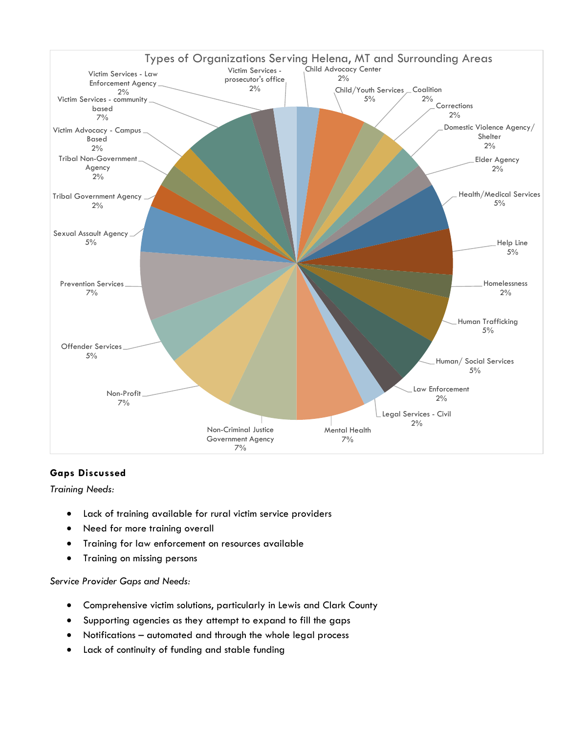

#### **Gaps Discussed**

*Training Needs:*

- Lack of training available for rural victim service providers
- Need for more training overall
- Training for law enforcement on resources available
- Training on missing persons

*Service Provider Gaps and Needs:*

- Comprehensive victim solutions, particularly in Lewis and Clark County
- Supporting agencies as they attempt to expand to fill the gaps
- Notifications automated and through the whole legal process
- Lack of continuity of funding and stable funding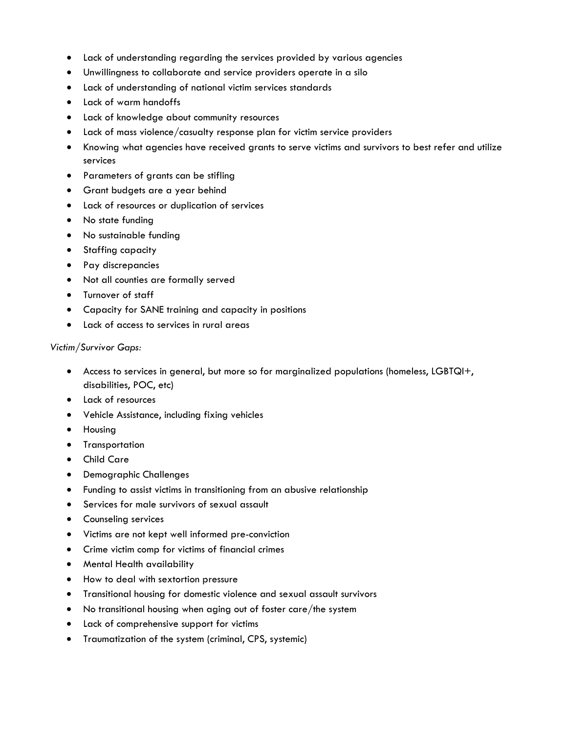- Lack of understanding regarding the services provided by various agencies
- Unwillingness to collaborate and service providers operate in a silo
- Lack of understanding of national victim services standards
- Lack of warm handoffs
- Lack of knowledge about community resources
- Lack of mass violence/casualty response plan for victim service providers
- Knowing what agencies have received grants to serve victims and survivors to best refer and utilize services
- Parameters of grants can be stifling
- Grant budgets are a year behind
- Lack of resources or duplication of services
- No state funding
- No sustainable funding
- Staffing capacity
- Pay discrepancies
- Not all counties are formally served
- Turnover of staff
- Capacity for SANE training and capacity in positions
- Lack of access to services in rural areas

#### *Victim/Survivor Gaps:*

- Access to services in general, but more so for marginalized populations (homeless, LGBTQI+, disabilities, POC, etc)
- Lack of resources
- Vehicle Assistance, including fixing vehicles
- Housing
- Transportation
- Child Care
- Demographic Challenges
- Funding to assist victims in transitioning from an abusive relationship
- Services for male survivors of sexual assault
- Counseling services
- Victims are not kept well informed pre-conviction
- Crime victim comp for victims of financial crimes
- Mental Health availability
- How to deal with sextortion pressure
- Transitional housing for domestic violence and sexual assault survivors
- No transitional housing when aging out of foster care/the system
- Lack of comprehensive support for victims
- Traumatization of the system (criminal, CPS, systemic)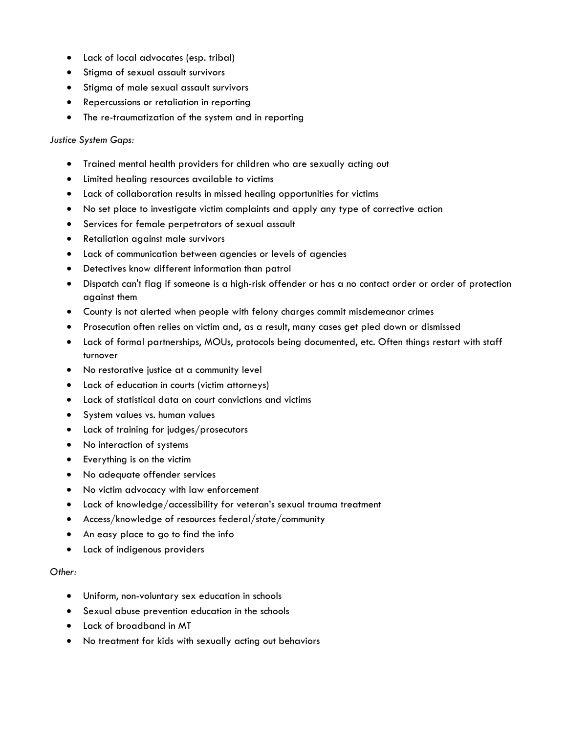- Lack of local advocates (esp. tribal)
- Stigma of sexual assault survivors
- Stigma of male sexual assault survivors
- Repercussions or retaliation in reporting
- The re-traumatization of the system and in reporting

#### *Justice System Gaps:*

- Trained mental health providers for children who are sexually acting out
- Limited healing resources available to victims
- Lack of collaboration results in missed healing opportunities for victims
- No set place to investigate victim complaints and apply any type of corrective action
- Services for female perpetrators of sexual assault
- Retaliation against male survivors
- Lack of communication between agencies or levels of agencies
- Detectives know different information than patrol
- Dispatch can't flag if someone is a high-risk offender or has a no contact order or order of protection against them
- County is not alerted when people with felony charges commit misdemeanor crimes
- Prosecution often relies on victim and, as a result, many cases get pled down or dismissed
- Lack of formal partnerships, MOUs, protocols being documented, etc. Often things restart with staff turnover
- No restorative justice at a community level
- Lack of education in courts (victim attorneys)
- Lack of statistical data on court convictions and victims
- System values vs. human values
- Lack of training for judges/prosecutors
- No interaction of systems
- Everything is on the victim
- No adequate offender services
- No victim advocacy with law enforcement
- Lack of knowledge/accessibility for veteran's sexual trauma treatment
- Access/knowledge of resources federal/state/community
- An easy place to go to find the info
- Lack of indigenous providers

#### *Other:*

- Uniform, non-voluntary sex education in schools
- Sexual abuse prevention education in the schools
- Lack of broadband in MT
- No treatment for kids with sexually acting out behaviors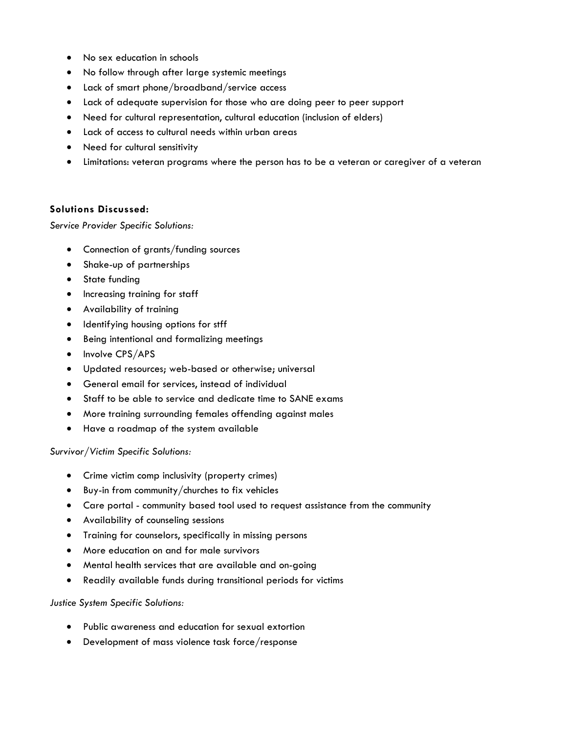- No sex education in schools
- No follow through after large systemic meetings
- Lack of smart phone/broadband/service access
- Lack of adequate supervision for those who are doing peer to peer support
- Need for cultural representation, cultural education (inclusion of elders)
- Lack of access to cultural needs within urban areas
- Need for cultural sensitivity
- Limitations: veteran programs where the person has to be a veteran or caregiver of a veteran

#### **Solutions Discussed:**

*Service Provider Specific Solutions:*

- Connection of grants/funding sources
- Shake-up of partnerships
- State funding
- Increasing training for staff
- Availability of training
- Identifying housing options for stff
- Being intentional and formalizing meetings
- Involve CPS/APS
- Updated resources; web-based or otherwise; universal
- General email for services, instead of individual
- Staff to be able to service and dedicate time to SANE exams
- More training surrounding females offending against males
- Have a roadmap of the system available

#### *Survivor/Victim Specific Solutions:*

- Crime victim comp inclusivity (property crimes)
- Buy-in from community/churches to fix vehicles
- Care portal community based tool used to request assistance from the community
- Availability of counseling sessions
- Training for counselors, specifically in missing persons
- More education on and for male survivors
- Mental health services that are available and on-going
- Readily available funds during transitional periods for victims

#### *Justice System Specific Solutions:*

- Public awareness and education for sexual extortion
- Development of mass violence task force/response